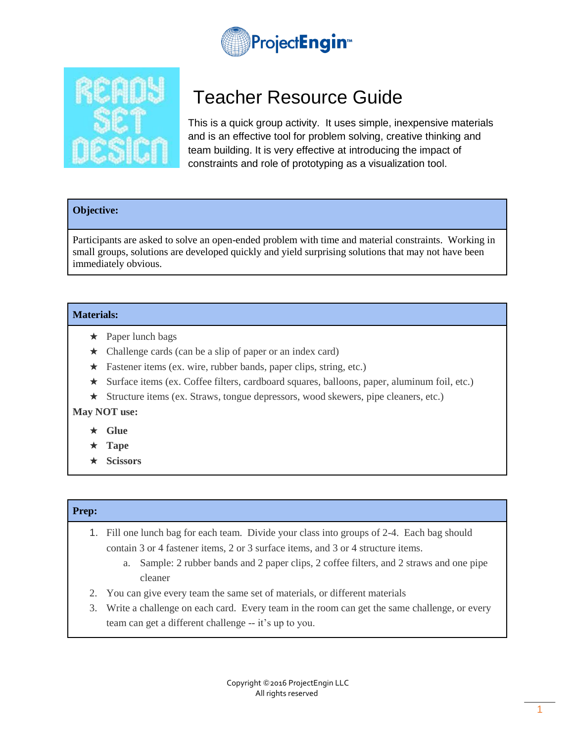

# Teacher Resource Guide

This is a quick group activity. It uses simple, inexpensive materials and is an effective tool for problem solving, creative thinking and team building. It is very effective at introducing the impact of constraints and role of prototyping as a visualization tool.

## **Objective:**

Participants are asked to solve an open-ended problem with time and material constraints. Working in small groups, solutions are developed quickly and yield surprising solutions that may not have been immediately obvious.

#### **Materials:**

- $\star$  Paper lunch bags
- ★ Challenge cards (can be a slip of paper or an index card)
- ★ Fastener items (ex. wire, rubber bands, paper clips, string, etc.)
- ★ Surface items (ex. Coffee filters, cardboard squares, balloons, paper, aluminum foil, etc.)
- ★ Structure items (ex. Straws, tongue depressors, wood skewers, pipe cleaners, etc.)

## **May NOT use:**

- ★ **Glue**
- ★ **Tape**
- ★ **Scissors**

## **Prep:**

- 1. Fill one lunch bag for each team. Divide your class into groups of 2-4. Each bag should contain 3 or 4 fastener items, 2 or 3 surface items, and 3 or 4 structure items.
	- a. Sample: 2 rubber bands and 2 paper clips, 2 coffee filters, and 2 straws and one pipe cleaner
- 2. You can give every team the same set of materials, or different materials
- 3. Write a challenge on each card. Every team in the room can get the same challenge, or every team can get a different challenge -- it's up to you.

Copyright ©2016 ProjectEngin LLC All rights reserved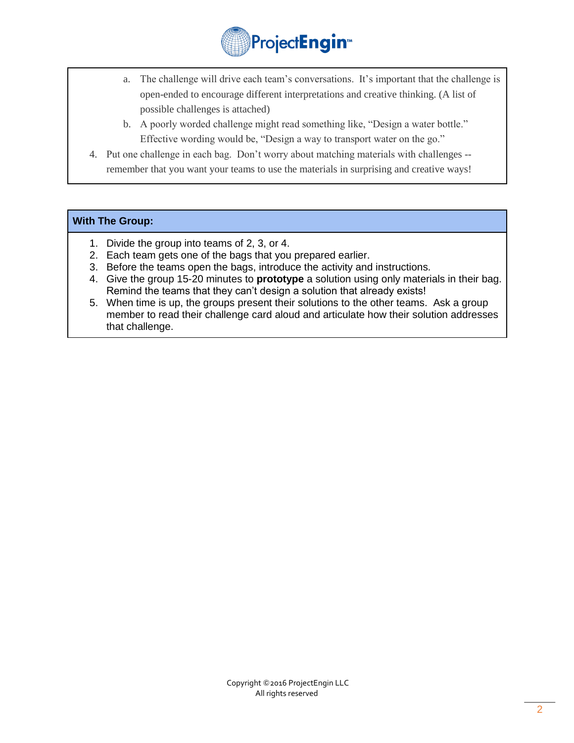

- a. The challenge will drive each team's conversations. It's important that the challenge is open-ended to encourage different interpretations and creative thinking. (A list of possible challenges is attached)
- b. A poorly worded challenge might read something like, "Design a water bottle." Effective wording would be, "Design a way to transport water on the go."
- 4. Put one challenge in each bag. Don't worry about matching materials with challenges remember that you want your teams to use the materials in surprising and creative ways!

#### **With The Group:**

- 1. Divide the group into teams of 2, 3, or 4.
- 2. Each team gets one of the bags that you prepared earlier.
- 3. Before the teams open the bags, introduce the activity and instructions.
- 4. Give the group 15-20 minutes to **prototype** a solution using only materials in their bag. Remind the teams that they can't design a solution that already exists!
- 5. When time is up, the groups present their solutions to the other teams. Ask a group member to read their challenge card aloud and articulate how their solution addresses that challenge.